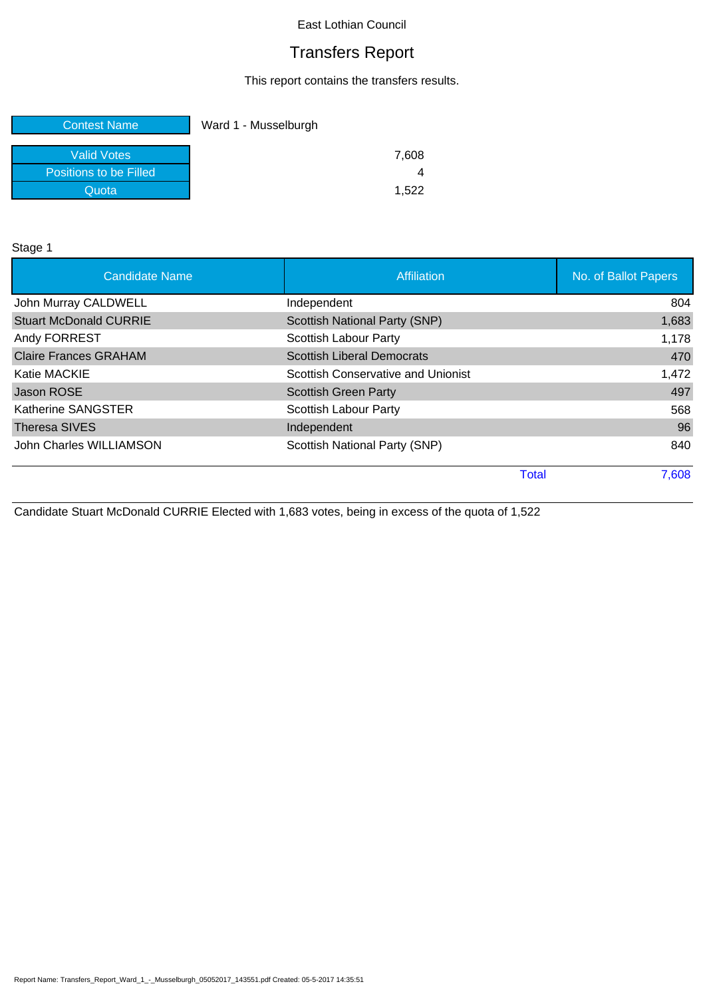# Transfers Report

This report contains the transfers results.

| <b>Contest Name</b>           | Ward 1 - Musselburgh |
|-------------------------------|----------------------|
| <b>Valid Votes</b>            | 7,608                |
| <b>Positions to be Filled</b> |                      |
| Quota                         | 1.522                |

Stage 1

| <b>Candidate Name</b>         | Affiliation                          | No. of Ballot Papers |
|-------------------------------|--------------------------------------|----------------------|
| John Murray CALDWELL          | Independent                          | 804                  |
| <b>Stuart McDonald CURRIE</b> | <b>Scottish National Party (SNP)</b> | 1,683                |
| Andy FORREST                  | <b>Scottish Labour Party</b>         | 1,178                |
| <b>Claire Frances GRAHAM</b>  | <b>Scottish Liberal Democrats</b>    | 470                  |
| <b>Katie MACKIE</b>           | Scottish Conservative and Unionist   | 1,472                |
| Jason ROSE                    | <b>Scottish Green Party</b>          | 497                  |
| Katherine SANGSTER            | Scottish Labour Party                | 568                  |
| <b>Theresa SIVES</b>          | Independent                          | 96                   |
| John Charles WILLIAMSON       | Scottish National Party (SNP)        | 840                  |
|                               | Total                                | 7,608                |

Candidate Stuart McDonald CURRIE Elected with 1,683 votes, being in excess of the quota of 1,522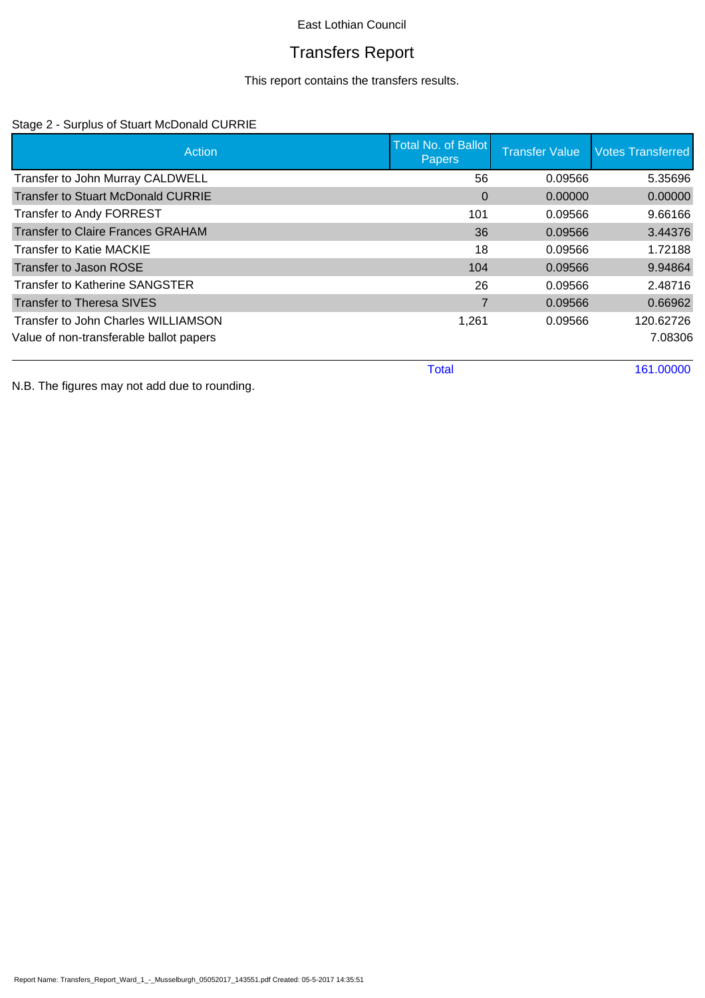# Transfers Report

This report contains the transfers results.

## Stage 2 - Surplus of Stuart McDonald CURRIE

| Action                                    | <b>Total No. of Ballot</b><br><b>Papers</b> | <b>Transfer Value</b> | <b>Votes Transferred</b> |
|-------------------------------------------|---------------------------------------------|-----------------------|--------------------------|
| Transfer to John Murray CALDWELL          | 56                                          | 0.09566               | 5.35696                  |
| <b>Transfer to Stuart McDonald CURRIE</b> | $\Omega$                                    | 0.00000               | 0.00000                  |
| Transfer to Andy FORREST                  | 101                                         | 0.09566               | 9.66166                  |
| <b>Transfer to Claire Frances GRAHAM</b>  | 36                                          | 0.09566               | 3.44376                  |
| <b>Transfer to Katie MACKIE</b>           | 18                                          | 0.09566               | 1.72188                  |
| Transfer to Jason ROSE                    | 104                                         | 0.09566               | 9.94864                  |
| <b>Transfer to Katherine SANGSTER</b>     | 26                                          | 0.09566               | 2.48716                  |
| <b>Transfer to Theresa SIVES</b>          |                                             | 0.09566               | 0.66962                  |
| Transfer to John Charles WILLIAMSON       | 1,261                                       | 0.09566               | 120.62726                |
| Value of non-transferable ballot papers   |                                             |                       | 7.08306                  |
|                                           | <b>Total</b>                                |                       | 161.00000                |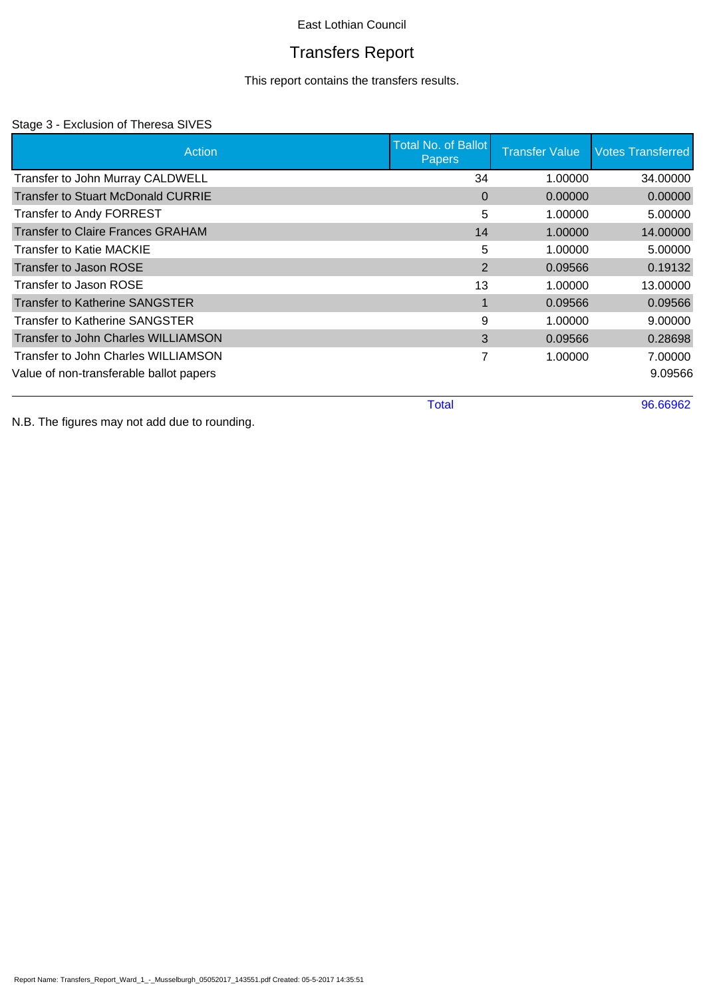# Transfers Report

This report contains the transfers results.

## Stage 3 - Exclusion of Theresa SIVES

| Action                                    | <b>Total No. of Ballot</b><br><b>Papers</b> | <b>Transfer Value</b> | <b>Votes Transferred</b> |
|-------------------------------------------|---------------------------------------------|-----------------------|--------------------------|
| Transfer to John Murray CALDWELL          | 34                                          | 1.00000               | 34.00000                 |
| <b>Transfer to Stuart McDonald CURRIE</b> | $\Omega$                                    | 0.00000               | 0.00000                  |
| Transfer to Andy FORREST                  | 5                                           | 1.00000               | 5.00000                  |
| <b>Transfer to Claire Frances GRAHAM</b>  | 14                                          | 1.00000               | 14.00000                 |
| Transfer to Katie MACKIE                  | 5                                           | 1.00000               | 5.00000                  |
| Transfer to Jason ROSE                    | 2                                           | 0.09566               | 0.19132                  |
| Transfer to Jason ROSE                    | 13                                          | 1.00000               | 13.00000                 |
| <b>Transfer to Katherine SANGSTER</b>     | $\blacksquare$                              | 0.09566               | 0.09566                  |
| Transfer to Katherine SANGSTER            | 9                                           | 1.00000               | 9.00000                  |
| Transfer to John Charles WILLIAMSON       | 3                                           | 0.09566               | 0.28698                  |
| Transfer to John Charles WILLIAMSON       | 7                                           | 1.00000               | 7.00000                  |
| Value of non-transferable ballot papers   |                                             |                       | 9.09566                  |

Total 96.66962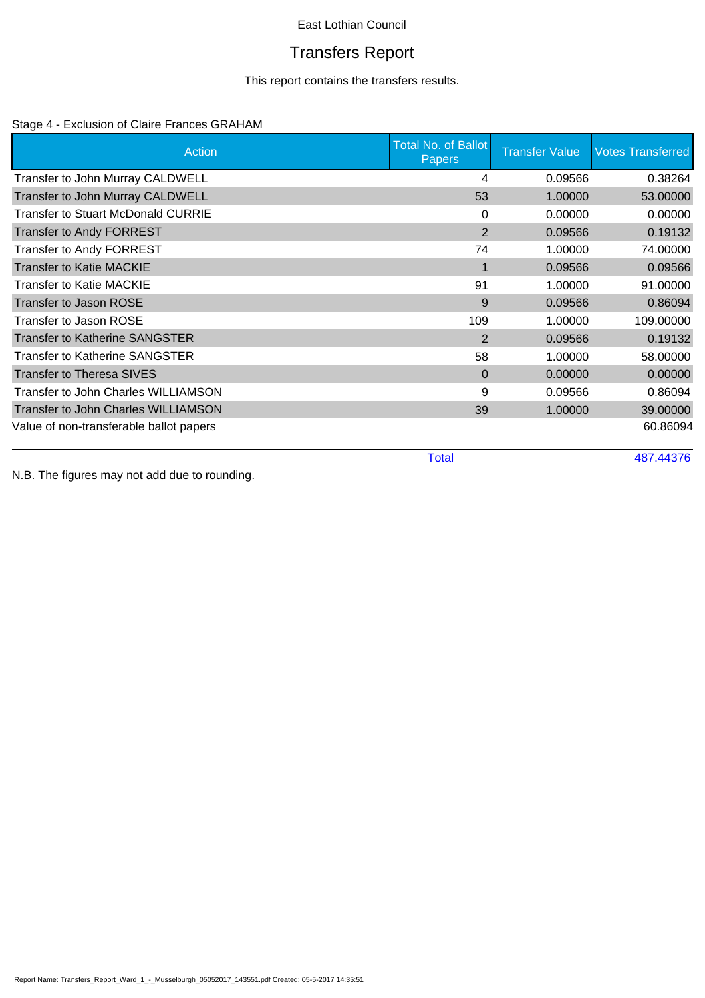# Transfers Report

This report contains the transfers results.

## Stage 4 - Exclusion of Claire Frances GRAHAM

| Action                                  | <b>Total No. of Ballot</b><br><b>Papers</b> | <b>Transfer Value</b> | <b>Votes Transferred</b> |
|-----------------------------------------|---------------------------------------------|-----------------------|--------------------------|
| Transfer to John Murray CALDWELL        | 4                                           | 0.09566               | 0.38264                  |
| Transfer to John Murray CALDWELL        | 53                                          | 1.00000               | 53.00000                 |
| Transfer to Stuart McDonald CURRIE      | 0                                           | 0.00000               | 0.00000                  |
| <b>Transfer to Andy FORREST</b>         | $\overline{2}$                              | 0.09566               | 0.19132                  |
| <b>Transfer to Andy FORREST</b>         | 74                                          | 1.00000               | 74.00000                 |
| <b>Transfer to Katie MACKIE</b>         | $\mathbf 1$                                 | 0.09566               | 0.09566                  |
| <b>Transfer to Katie MACKIE</b>         | 91                                          | 1.00000               | 91.00000                 |
| <b>Transfer to Jason ROSE</b>           | 9                                           | 0.09566               | 0.86094                  |
| Transfer to Jason ROSE                  | 109                                         | 1.00000               | 109.00000                |
| <b>Transfer to Katherine SANGSTER</b>   | 2                                           | 0.09566               | 0.19132                  |
| Transfer to Katherine SANGSTER          | 58                                          | 1.00000               | 58.00000                 |
| <b>Transfer to Theresa SIVES</b>        | $\Omega$                                    | 0.00000               | 0.00000                  |
| Transfer to John Charles WILLIAMSON     | 9                                           | 0.09566               | 0.86094                  |
| Transfer to John Charles WILLIAMSON     | 39                                          | 1.00000               | 39.00000                 |
| Value of non-transferable ballot papers |                                             |                       | 60.86094                 |
|                                         | <b>Total</b>                                |                       | 487.44376                |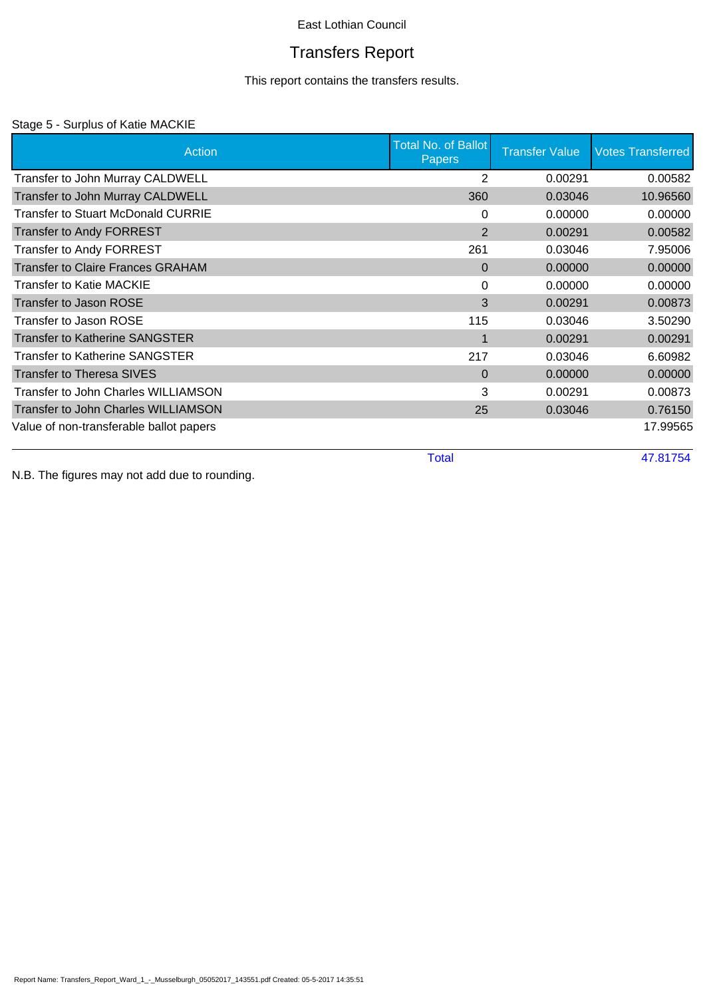# Transfers Report

This report contains the transfers results.

### Stage 5 - Surplus of Katie MACKIE

| Action                                     | Total No. of Ballot<br><b>Papers</b> | <b>Transfer Value</b> | <b>Votes Transferred</b> |
|--------------------------------------------|--------------------------------------|-----------------------|--------------------------|
| Transfer to John Murray CALDWELL           | 2                                    | 0.00291               | 0.00582                  |
| Transfer to John Murray CALDWELL           | 360                                  | 0.03046               | 10.96560                 |
| Transfer to Stuart McDonald CURRIE         | 0                                    | 0.00000               | 0.00000                  |
| <b>Transfer to Andy FORREST</b>            | 2                                    | 0.00291               | 0.00582                  |
| <b>Transfer to Andy FORREST</b>            | 261                                  | 0.03046               | 7.95006                  |
| <b>Transfer to Claire Frances GRAHAM</b>   | $\Omega$                             | 0.00000               | 0.00000                  |
| <b>Transfer to Katie MACKIE</b>            | 0                                    | 0.00000               | 0.00000                  |
| Transfer to Jason ROSE                     | 3                                    | 0.00291               | 0.00873                  |
| Transfer to Jason ROSE                     | 115                                  | 0.03046               | 3.50290                  |
| <b>Transfer to Katherine SANGSTER</b>      |                                      | 0.00291               | 0.00291                  |
| Transfer to Katherine SANGSTER             | 217                                  | 0.03046               | 6.60982                  |
| <b>Transfer to Theresa SIVES</b>           | $\Omega$                             | 0.00000               | 0.00000                  |
| Transfer to John Charles WILLIAMSON        | 3                                    | 0.00291               | 0.00873                  |
| <b>Transfer to John Charles WILLIAMSON</b> | 25                                   | 0.03046               | 0.76150                  |
| Value of non-transferable ballot papers    |                                      |                       | 17.99565                 |
|                                            | <b>Total</b>                         |                       | 47.81754                 |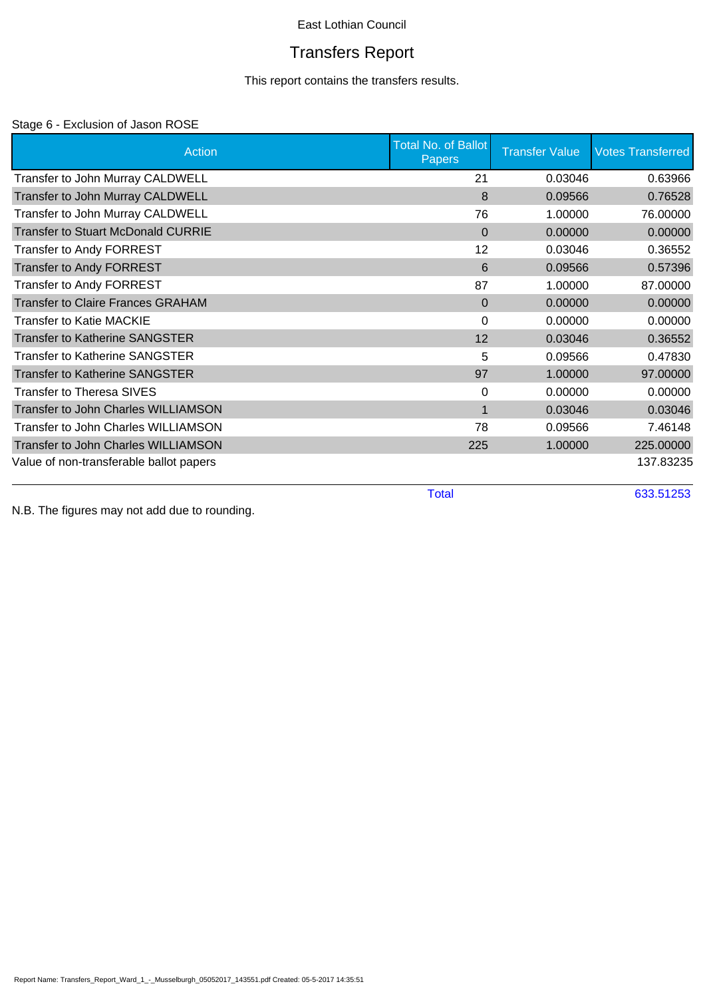# Transfers Report

This report contains the transfers results.

## Stage 6 - Exclusion of Jason ROSE

| Action                                     | <b>Total No. of Ballot</b><br>Papers | <b>Transfer Value</b> | <b>Votes Transferred</b> |
|--------------------------------------------|--------------------------------------|-----------------------|--------------------------|
| Transfer to John Murray CALDWELL           | 21                                   | 0.03046               | 0.63966                  |
| Transfer to John Murray CALDWELL           | 8                                    | 0.09566               | 0.76528                  |
| Transfer to John Murray CALDWELL           | 76                                   | 1.00000               | 76.00000                 |
| <b>Transfer to Stuart McDonald CURRIE</b>  | $\mathbf{0}$                         | 0.00000               | 0.00000                  |
| <b>Transfer to Andy FORREST</b>            | 12                                   | 0.03046               | 0.36552                  |
| <b>Transfer to Andy FORREST</b>            | 6                                    | 0.09566               | 0.57396                  |
| <b>Transfer to Andy FORREST</b>            | 87                                   | 1.00000               | 87.00000                 |
| <b>Transfer to Claire Frances GRAHAM</b>   | $\Omega$                             | 0.00000               | 0.00000                  |
| <b>Transfer to Katie MACKIE</b>            | 0                                    | 0.00000               | 0.00000                  |
| <b>Transfer to Katherine SANGSTER</b>      | 12                                   | 0.03046               | 0.36552                  |
| <b>Transfer to Katherine SANGSTER</b>      | 5                                    | 0.09566               | 0.47830                  |
| <b>Transfer to Katherine SANGSTER</b>      | 97                                   | 1.00000               | 97.00000                 |
| <b>Transfer to Theresa SIVES</b>           | 0                                    | 0.00000               | 0.00000                  |
| <b>Transfer to John Charles WILLIAMSON</b> | 1                                    | 0.03046               | 0.03046                  |
| <b>Transfer to John Charles WILLIAMSON</b> | 78                                   | 0.09566               | 7.46148                  |
| Transfer to John Charles WILLIAMSON        | 225                                  | 1.00000               | 225.00000                |
| Value of non-transferable ballot papers    |                                      |                       | 137.83235                |
|                                            | <b>Total</b>                         |                       | 633.51253                |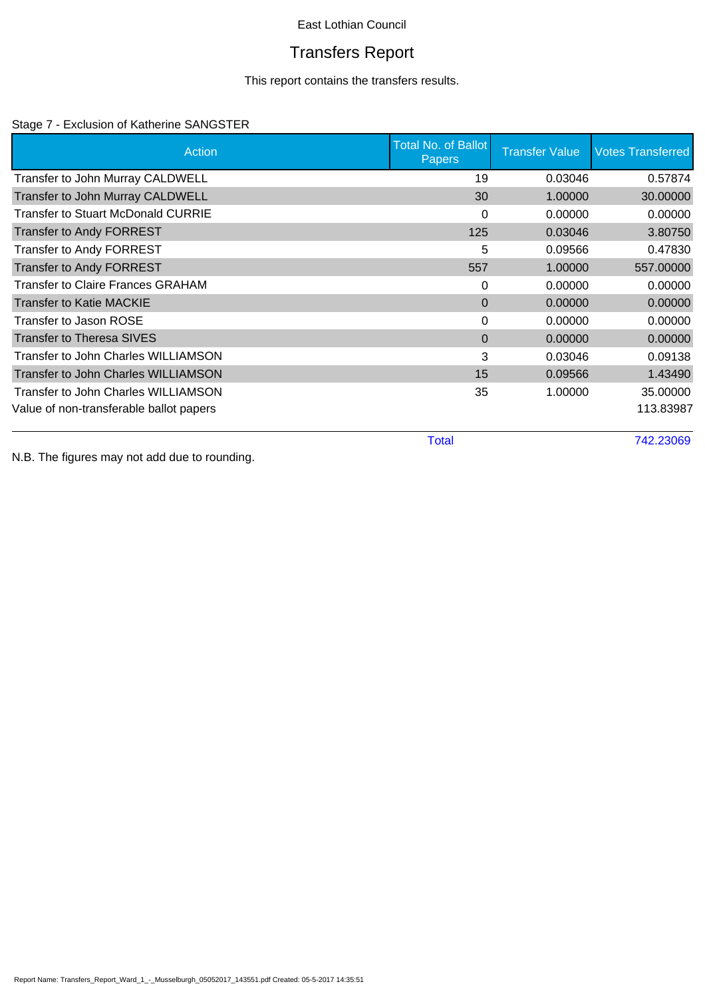# Transfers Report

This report contains the transfers results.

## Stage 7 - Exclusion of Katherine SANGSTER

| Action                                   | <b>Total No. of Ballot</b><br><b>Papers</b> | <b>Transfer Value</b> | <b>Votes Transferred</b> |
|------------------------------------------|---------------------------------------------|-----------------------|--------------------------|
| Transfer to John Murray CALDWELL         | 19                                          | 0.03046               | 0.57874                  |
| Transfer to John Murray CALDWELL         | 30                                          | 1.00000               | 30.00000                 |
| Transfer to Stuart McDonald CURRIE       | 0                                           | 0.00000               | 0.00000                  |
| <b>Transfer to Andy FORREST</b>          | 125                                         | 0.03046               | 3.80750                  |
| <b>Transfer to Andy FORREST</b>          | 5                                           | 0.09566               | 0.47830                  |
| <b>Transfer to Andy FORREST</b>          | 557                                         | 1.00000               | 557.00000                |
| <b>Transfer to Claire Frances GRAHAM</b> | 0                                           | 0.00000               | 0.00000                  |
| <b>Transfer to Katie MACKIE</b>          | $\Omega$                                    | 0.00000               | 0.00000                  |
| Transfer to Jason ROSE                   | 0                                           | 0.00000               | 0.00000                  |
| <b>Transfer to Theresa SIVES</b>         | $\Omega$                                    | 0.00000               | 0.00000                  |
| Transfer to John Charles WILLIAMSON      | 3                                           | 0.03046               | 0.09138                  |
| Transfer to John Charles WILLIAMSON      | 15                                          | 0.09566               | 1.43490                  |
| Transfer to John Charles WILLIAMSON      | 35                                          | 1.00000               | 35.00000                 |
| Value of non-transferable ballot papers  |                                             |                       | 113.83987                |

Total 742.23069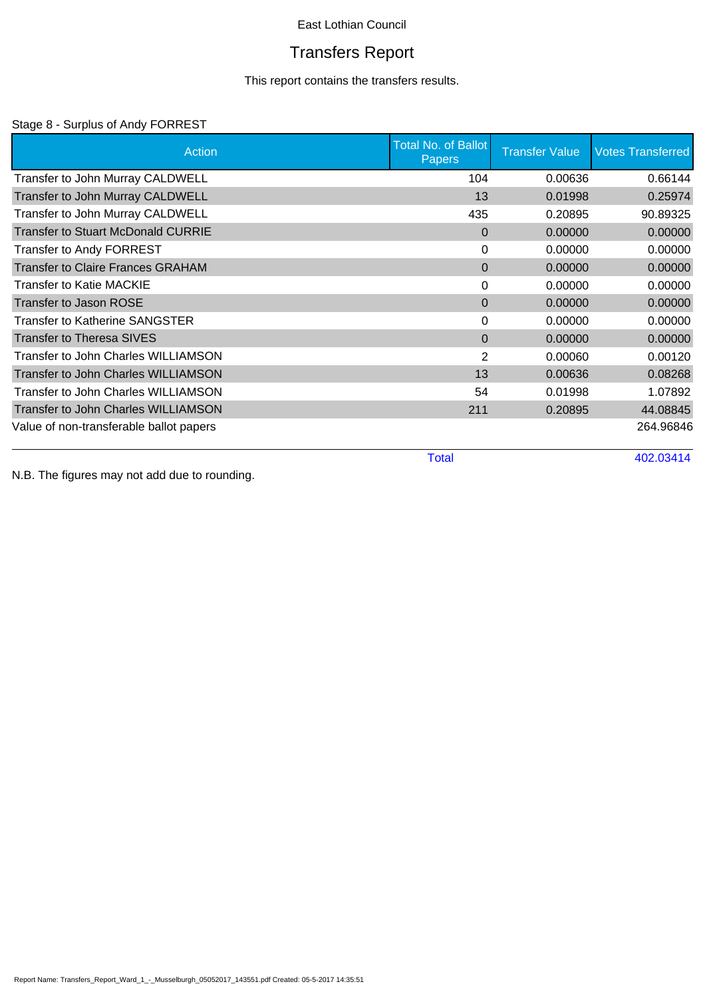# Transfers Report

This report contains the transfers results.

## Stage 8 - Surplus of Andy FORREST

| Action                                     | <b>Total No. of Ballot</b><br><b>Papers</b> | <b>Transfer Value</b> | <b>Votes Transferred</b> |
|--------------------------------------------|---------------------------------------------|-----------------------|--------------------------|
| Transfer to John Murray CALDWELL           | 104                                         | 0.00636               | 0.66144                  |
| Transfer to John Murray CALDWELL           | 13                                          | 0.01998               | 0.25974                  |
| Transfer to John Murray CALDWELL           | 435                                         | 0.20895               | 90.89325                 |
| Transfer to Stuart McDonald CURRIE         | $\Omega$                                    | 0.00000               | 0.00000                  |
| Transfer to Andy FORREST                   | 0                                           | 0.00000               | 0.00000                  |
| <b>Transfer to Claire Frances GRAHAM</b>   | 0                                           | 0.00000               | 0.00000                  |
| <b>Transfer to Katie MACKIE</b>            | 0                                           | 0.00000               | 0.00000                  |
| Transfer to Jason ROSE                     | 0                                           | 0.00000               | 0.00000                  |
| <b>Transfer to Katherine SANGSTER</b>      | 0                                           | 0.00000               | 0.00000                  |
| <b>Transfer to Theresa SIVES</b>           | 0                                           | 0.00000               | 0.00000                  |
| Transfer to John Charles WILLIAMSON        | $\overline{2}$                              | 0.00060               | 0.00120                  |
| <b>Transfer to John Charles WILLIAMSON</b> | 13                                          | 0.00636               | 0.08268                  |
| <b>Transfer to John Charles WILLIAMSON</b> | 54                                          | 0.01998               | 1.07892                  |
| <b>Transfer to John Charles WILLIAMSON</b> | 211                                         | 0.20895               | 44.08845                 |
| Value of non-transferable ballot papers    |                                             |                       | 264.96846                |
|                                            | <b>Total</b>                                |                       | 402.03414                |